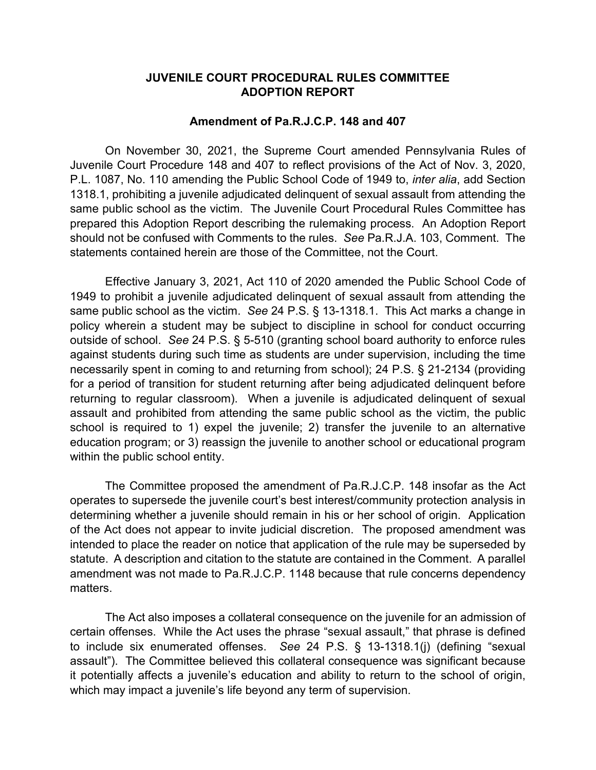## **JUVENILE COURT PROCEDURAL RULES COMMITTEE ADOPTION REPORT**

## **Amendment of Pa.R.J.C.P. 148 and 407**

On November 30, 2021, the Supreme Court amended Pennsylvania Rules of Juvenile Court Procedure 148 and 407 to reflect provisions of the Act of Nov. 3, 2020, P.L. 1087, No. 110 amending the Public School Code of 1949 to, *inter alia*, add Section 1318.1, prohibiting a juvenile adjudicated delinquent of sexual assault from attending the same public school as the victim. The Juvenile Court Procedural Rules Committee has prepared this Adoption Report describing the rulemaking process. An Adoption Report should not be confused with Comments to the rules. *See* Pa.R.J.A. 103, Comment. The statements contained herein are those of the Committee, not the Court.

Effective January 3, 2021, Act 110 of 2020 amended the Public School Code of 1949 to prohibit a juvenile adjudicated delinquent of sexual assault from attending the same public school as the victim. *See* 24 P.S. § 13-1318.1. This Act marks a change in policy wherein a student may be subject to discipline in school for conduct occurring outside of school. *See* 24 P.S. § 5-510 (granting school board authority to enforce rules against students during such time as students are under supervision, including the time necessarily spent in coming to and returning from school); 24 P.S. § 21-2134 (providing for a period of transition for student returning after being adjudicated delinquent before returning to regular classroom). When a juvenile is adjudicated delinquent of sexual assault and prohibited from attending the same public school as the victim, the public school is required to 1) expel the juvenile; 2) transfer the juvenile to an alternative education program; or 3) reassign the juvenile to another school or educational program within the public school entity.

The Committee proposed the amendment of Pa.R.J.C.P. 148 insofar as the Act operates to supersede the juvenile court's best interest/community protection analysis in determining whether a juvenile should remain in his or her school of origin. Application of the Act does not appear to invite judicial discretion. The proposed amendment was intended to place the reader on notice that application of the rule may be superseded by statute. A description and citation to the statute are contained in the Comment. A parallel amendment was not made to Pa.R.J.C.P. 1148 because that rule concerns dependency matters.

The Act also imposes a collateral consequence on the juvenile for an admission of certain offenses. While the Act uses the phrase "sexual assault," that phrase is defined to include six enumerated offenses. *See* 24 P.S. § 13-1318.1(j) (defining "sexual assault"). The Committee believed this collateral consequence was significant because it potentially affects a juvenile's education and ability to return to the school of origin, which may impact a juvenile's life beyond any term of supervision.